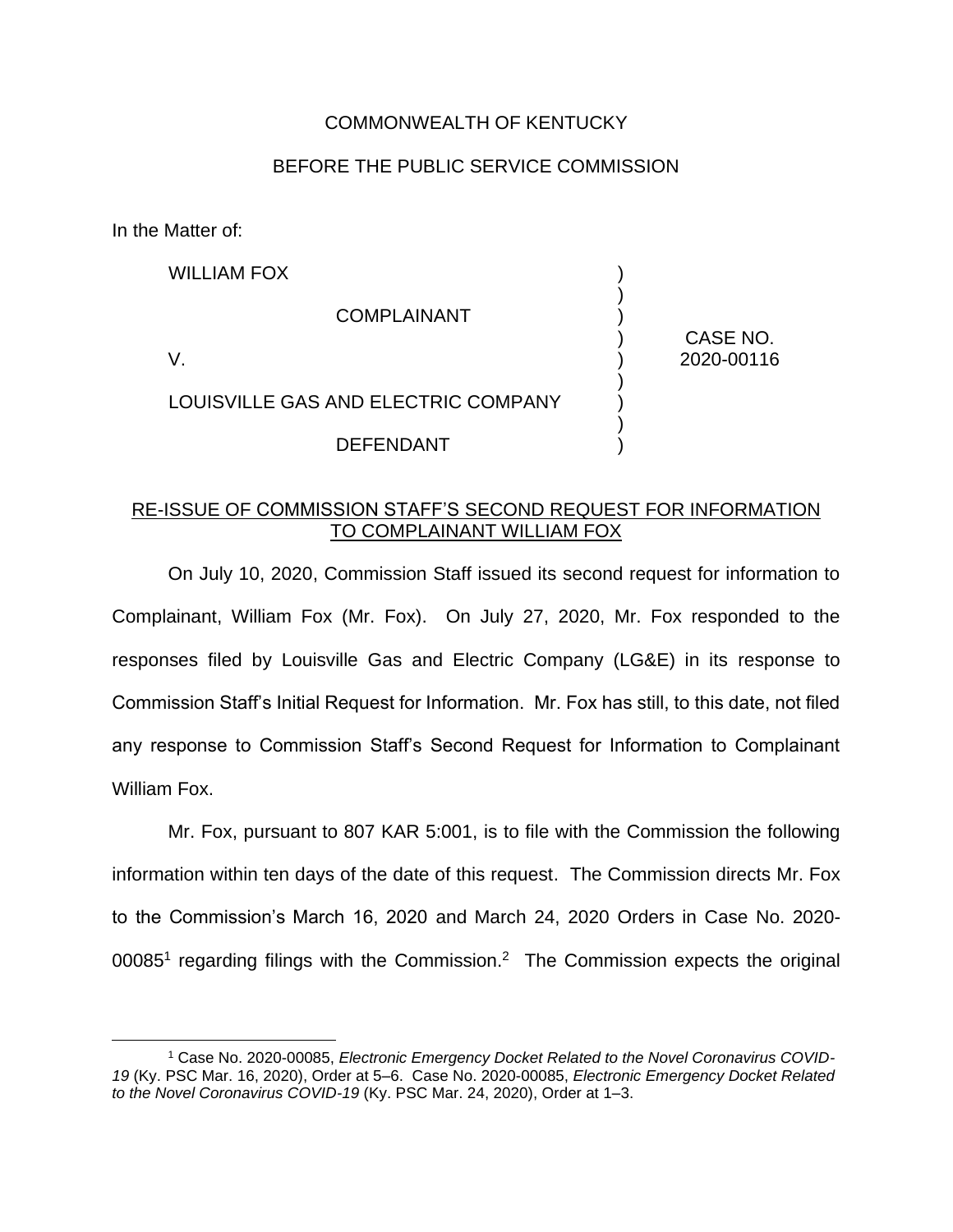## COMMONWEALTH OF KENTUCKY

## BEFORE THE PUBLIC SERVICE COMMISSION

In the Matter of:

| <b>WILLIAM FOX</b>                  |            |
|-------------------------------------|------------|
| <b>COMPLAINANT</b>                  | CASE NO.   |
|                                     | 2020-00116 |
| LOUISVILLE GAS AND ELECTRIC COMPANY |            |
| <b>DEFENDANT</b>                    |            |

## RE-ISSUE OF COMMISSION STAFF'S SECOND REQUEST FOR INFORMATION TO COMPLAINANT WILLIAM FOX

On July 10, 2020, Commission Staff issued its second request for information to Complainant, William Fox (Mr. Fox). On July 27, 2020, Mr. Fox responded to the responses filed by Louisville Gas and Electric Company (LG&E) in its response to Commission Staff's Initial Request for Information. Mr. Fox has still, to this date, not filed any response to Commission Staff's Second Request for Information to Complainant William Fox.

Mr. Fox, pursuant to 807 KAR 5:001, is to file with the Commission the following information within ten days of the date of this request. The Commission directs Mr. Fox to the Commission's March 16, 2020 and March 24, 2020 Orders in Case No. 2020- 00085<sup>1</sup> regarding filings with the Commission.<sup>2</sup> The Commission expects the original

<sup>1</sup> Case No. 2020-00085, *Electronic Emergency Docket Related to the Novel Coronavirus COVID-19* (Ky. PSC Mar. 16, 2020), Order at 5–6. Case No. 2020-00085, *Electronic Emergency Docket Related to the Novel Coronavirus COVID-19* (Ky. PSC Mar. 24, 2020), Order at 1–3.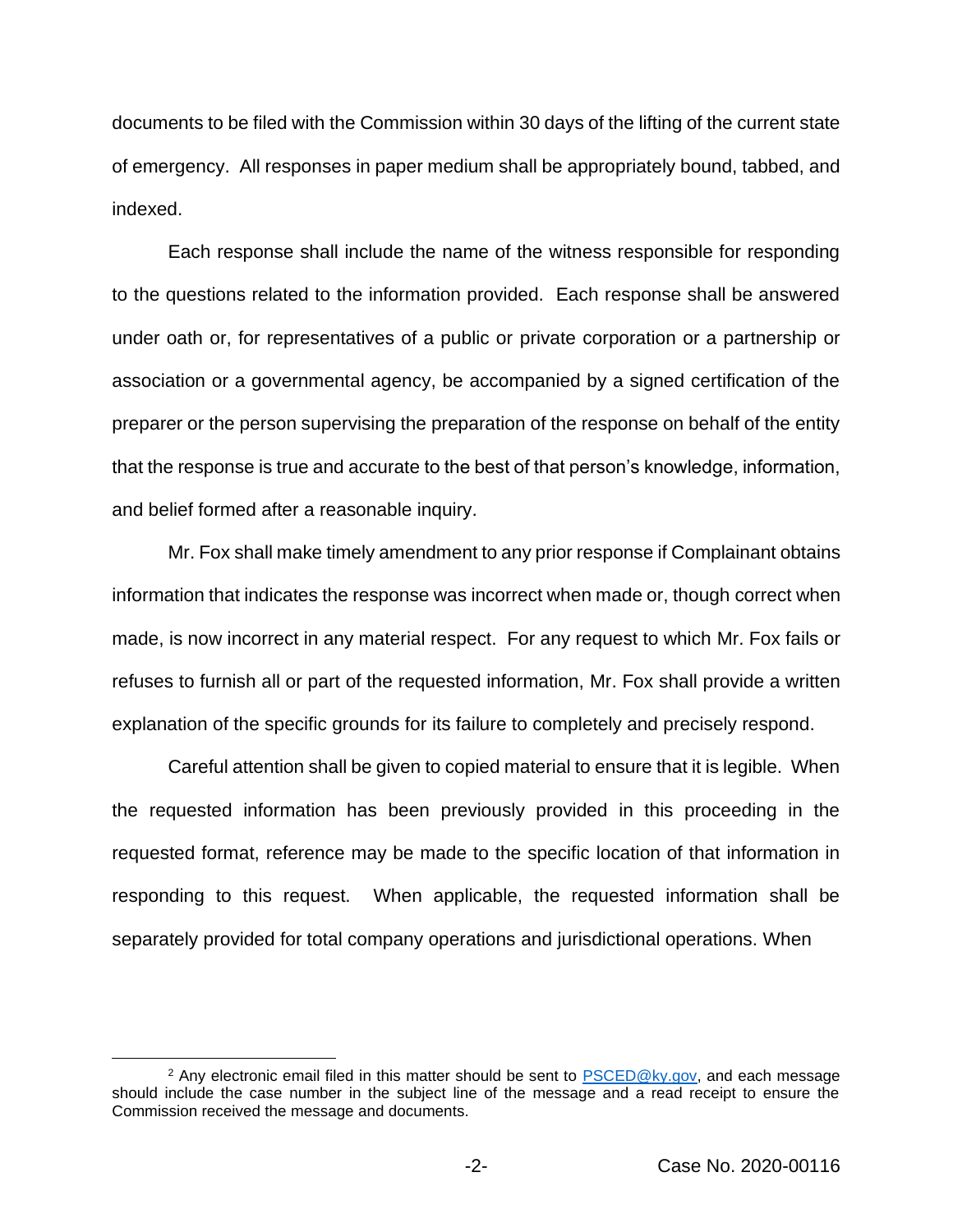documents to be filed with the Commission within 30 days of the lifting of the current state of emergency. All responses in paper medium shall be appropriately bound, tabbed, and indexed.

Each response shall include the name of the witness responsible for responding to the questions related to the information provided. Each response shall be answered under oath or, for representatives of a public or private corporation or a partnership or association or a governmental agency, be accompanied by a signed certification of the preparer or the person supervising the preparation of the response on behalf of the entity that the response is true and accurate to the best of that person's knowledge, information, and belief formed after a reasonable inquiry.

Mr. Fox shall make timely amendment to any prior response if Complainant obtains information that indicates the response was incorrect when made or, though correct when made, is now incorrect in any material respect. For any request to which Mr. Fox fails or refuses to furnish all or part of the requested information, Mr. Fox shall provide a written explanation of the specific grounds for its failure to completely and precisely respond.

Careful attention shall be given to copied material to ensure that it is legible. When the requested information has been previously provided in this proceeding in the requested format, reference may be made to the specific location of that information in responding to this request. When applicable, the requested information shall be separately provided for total company operations and jurisdictional operations. When

<sup>&</sup>lt;sup>2</sup> Any electronic email filed in this matter should be sent to  $PSCED@ky.gov$ , and each message should include the case number in the subject line of the message and a read receipt to ensure the Commission received the message and documents.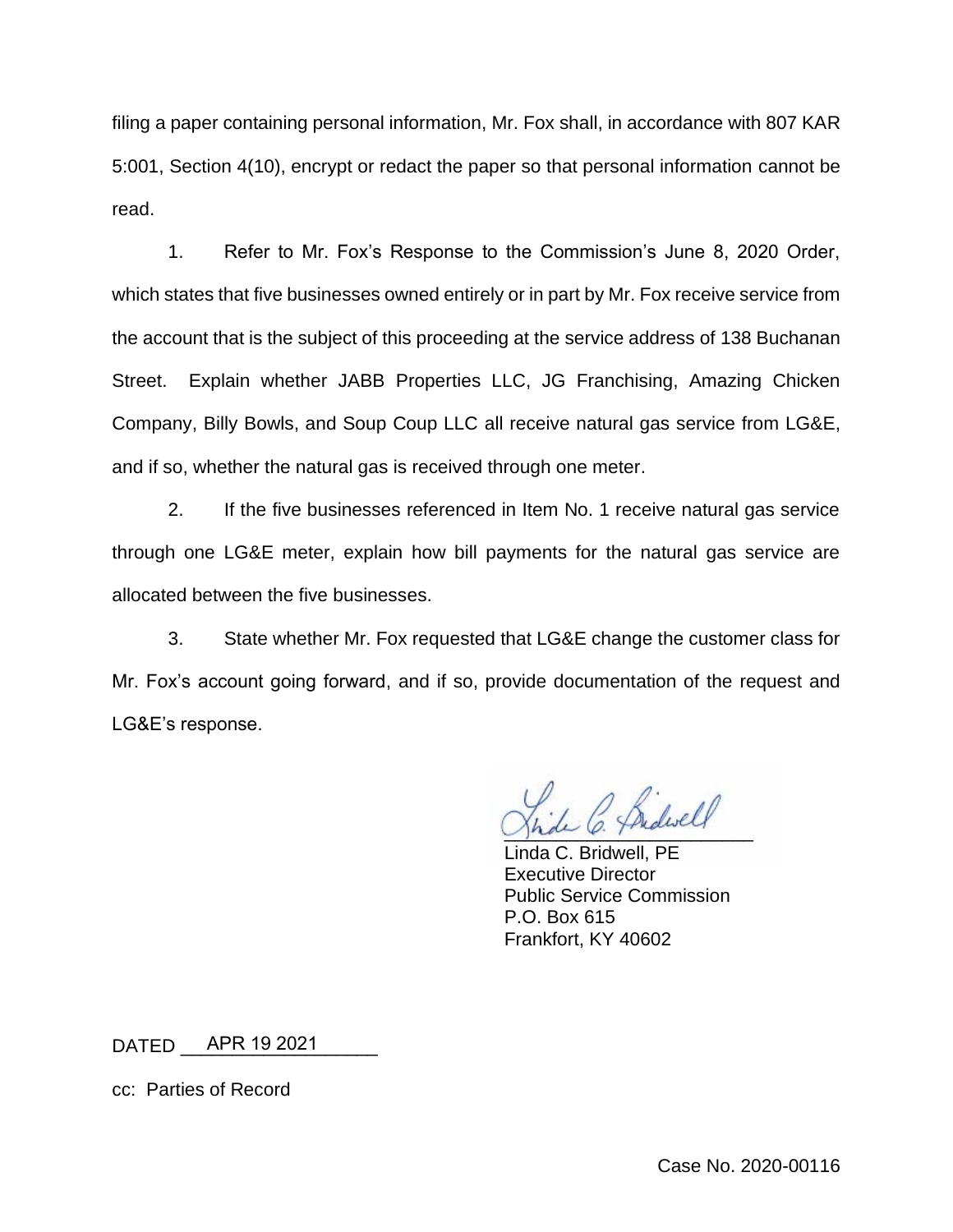filing a paper containing personal information, Mr. Fox shall, in accordance with 807 KAR 5:001, Section 4(10), encrypt or redact the paper so that personal information cannot be read.

1. Refer to Mr. Fox's Response to the Commission's June 8, 2020 Order, which states that five businesses owned entirely or in part by Mr. Fox receive service from the account that is the subject of this proceeding at the service address of 138 Buchanan Street. Explain whether JABB Properties LLC, JG Franchising, Amazing Chicken Company, Billy Bowls, and Soup Coup LLC all receive natural gas service from LG&E, and if so, whether the natural gas is received through one meter.

2. If the five businesses referenced in Item No. 1 receive natural gas service through one LG&E meter, explain how bill payments for the natural gas service are allocated between the five businesses.

3. State whether Mr. Fox requested that LG&E change the customer class for Mr. Fox's account going forward, and if so, provide documentation of the request and LG&E's response.

Jhde O. Fridascy

Linda C. Bridwell, PE Executive Director Public Service Commission P.O. Box 615 Frankfort, KY 40602

DATED \_\_\_\_\_\_\_\_\_\_\_\_\_\_\_\_\_\_\_ APR 19 2021

cc: Parties of Record